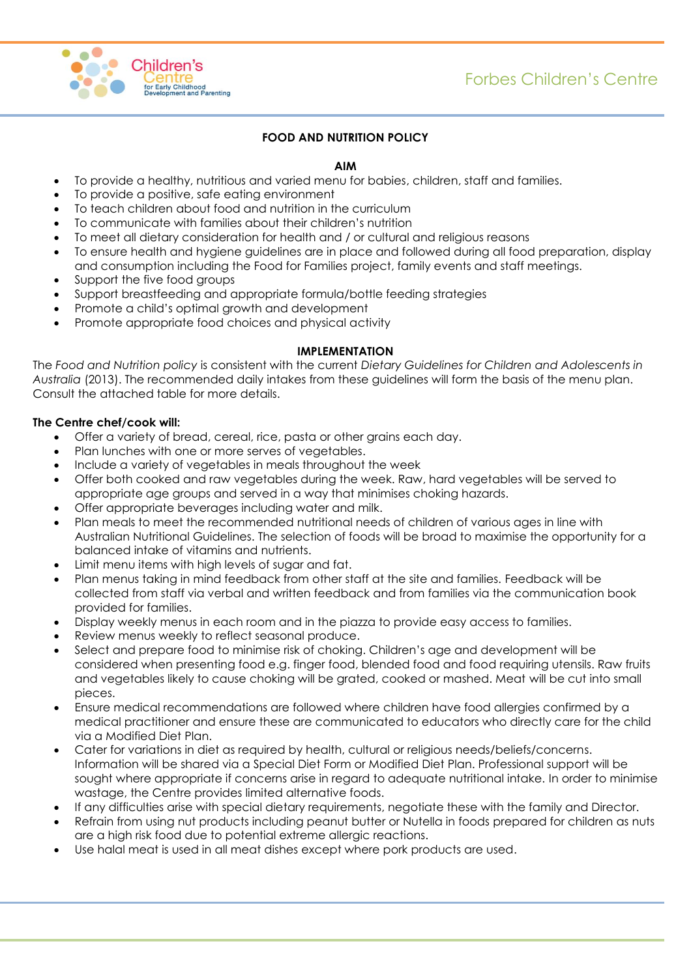

## **FOOD AND NUTRITION POLICY**

## **AIM**

- To provide a healthy, nutritious and varied menu for babies, children, staff and families.
	- To provide a positive, safe eating environment
- To teach children about food and nutrition in the curriculum
- To communicate with families about their children's nutrition
- To meet all dietary consideration for health and / or cultural and religious reasons
- To ensure health and hygiene guidelines are in place and followed during all food preparation, display and consumption including the Food for Families project, family events and staff meetings.
- Support the five food groups
- Support breastfeeding and appropriate formula/bottle feeding strategies
- Promote a child's optimal growth and development
- Promote appropriate food choices and physical activity

## **IMPLEMENTATION**

The *Food and Nutrition policy* is consistent with the current *Dietary Guidelines for Children and Adolescents in Australia* (2013). The recommended daily intakes from these guidelines will form the basis of the menu plan. Consult the attached table for more details.

## **The Centre chef/cook will:**

- Offer a variety of bread, cereal, rice, pasta or other grains each day.
- Plan lunches with one or more serves of vegetables.
- Include a variety of vegetables in meals throughout the week
- Offer both cooked and raw vegetables during the week. Raw, hard vegetables will be served to appropriate age groups and served in a way that minimises choking hazards.
- Offer appropriate beverages including water and milk.
- Plan meals to meet the recommended nutritional needs of children of various ages in line with Australian Nutritional Guidelines. The selection of foods will be broad to maximise the opportunity for a balanced intake of vitamins and nutrients.
- Limit menu items with high levels of sugar and fat.
- Plan menus taking in mind feedback from other staff at the site and families. Feedback will be collected from staff via verbal and written feedback and from families via the communication book provided for families.
- Display weekly menus in each room and in the piazza to provide easy access to families.
- Review menus weekly to reflect seasonal produce.
- Select and prepare food to minimise risk of choking. Children's age and development will be considered when presenting food e.g. finger food, blended food and food requiring utensils. Raw fruits and vegetables likely to cause choking will be grated, cooked or mashed. Meat will be cut into small pieces.
- Ensure medical recommendations are followed where children have food allergies confirmed by a medical practitioner and ensure these are communicated to educators who directly care for the child via a Modified Diet Plan.
- Cater for variations in diet as required by health, cultural or religious needs/beliefs/concerns. Information will be shared via a Special Diet Form or Modified Diet Plan. Professional support will be sought where appropriate if concerns arise in regard to adequate nutritional intake. In order to minimise wastage, the Centre provides limited alternative foods.
- If any difficulties arise with special dietary requirements, negotiate these with the family and Director.
- Refrain from using nut products including peanut butter or Nutella in foods prepared for children as nuts are a high risk food due to potential extreme allergic reactions.
- Use halal meat is used in all meat dishes except where pork products are used.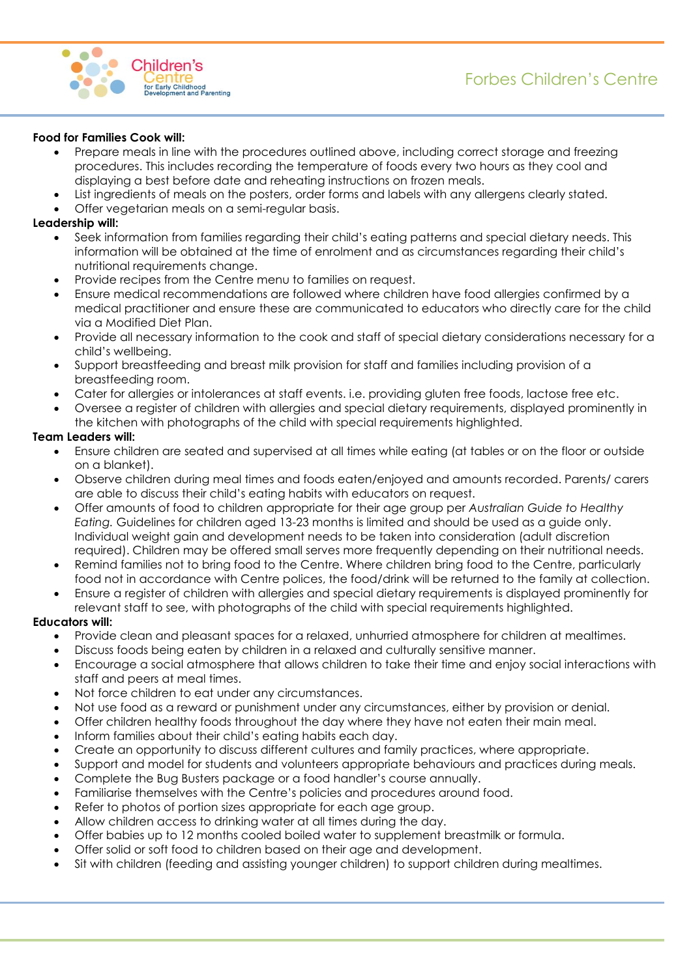

#### **Food for Families Cook will:**

- Prepare meals in line with the procedures outlined above, including correct storage and freezing procedures. This includes recording the temperature of foods every two hours as they cool and displaying a best before date and reheating instructions on frozen meals.
- List ingredients of meals on the posters, order forms and labels with any allergens clearly stated.
- Offer vegetarian meals on a semi-regular basis.

#### **Leadership will:**

- Seek information from families regarding their child's eating patterns and special dietary needs. This information will be obtained at the time of enrolment and as circumstances regarding their child's nutritional requirements change.
- Provide recipes from the Centre menu to families on request.
- Ensure medical recommendations are followed where children have food allergies confirmed by a medical practitioner and ensure these are communicated to educators who directly care for the child via a Modified Diet Plan.
- Provide all necessary information to the cook and staff of special dietary considerations necessary for a child's wellbeing.
- Support breastfeeding and breast milk provision for staff and families including provision of a breastfeeding room.
- Cater for allergies or intolerances at staff events. i.e. providing gluten free foods, lactose free etc.
- Oversee a register of children with allergies and special dietary requirements, displayed prominently in the kitchen with photographs of the child with special requirements highlighted.

#### **Team Leaders will:**

- Ensure children are seated and supervised at all times while eating (at tables or on the floor or outside on a blanket).
- Observe children during meal times and foods eaten/enjoyed and amounts recorded. Parents/ carers are able to discuss their child's eating habits with educators on request.
- Offer amounts of food to children appropriate for their age group per *Australian Guide to Healthy Eating.* Guidelines for children aged 13-23 months is limited and should be used as a guide only. Individual weight gain and development needs to be taken into consideration (adult discretion required). Children may be offered small serves more frequently depending on their nutritional needs.
- Remind families not to bring food to the Centre. Where children bring food to the Centre, particularly food not in accordance with Centre polices, the food/drink will be returned to the family at collection.
- Ensure a register of children with allergies and special dietary requirements is displayed prominently for relevant staff to see, with photographs of the child with special requirements highlighted.

#### **Educators will:**

- Provide clean and pleasant spaces for a relaxed, unhurried atmosphere for children at mealtimes.
- Discuss foods being eaten by children in a relaxed and culturally sensitive manner.
- Encourage a social atmosphere that allows children to take their time and enjoy social interactions with staff and peers at meal times.
- Not force children to eat under any circumstances.
- Not use food as a reward or punishment under any circumstances, either by provision or denial.
- Offer children healthy foods throughout the day where they have not eaten their main meal.
- Inform families about their child's eating habits each day.
- Create an opportunity to discuss different cultures and family practices, where appropriate.
- Support and model for students and volunteers appropriate behaviours and practices during meals.
- Complete the Bug Busters package or a food handler's course annually.
- Familiarise themselves with the Centre's policies and procedures around food.
- Refer to photos of portion sizes appropriate for each age group.
- Allow children access to drinking water at all times during the day.
- Offer babies up to 12 months cooled boiled water to supplement breastmilk or formula.
- Offer solid or soft food to children based on their age and development.
- Sit with children (feeding and assisting younger children) to support children during mealtimes.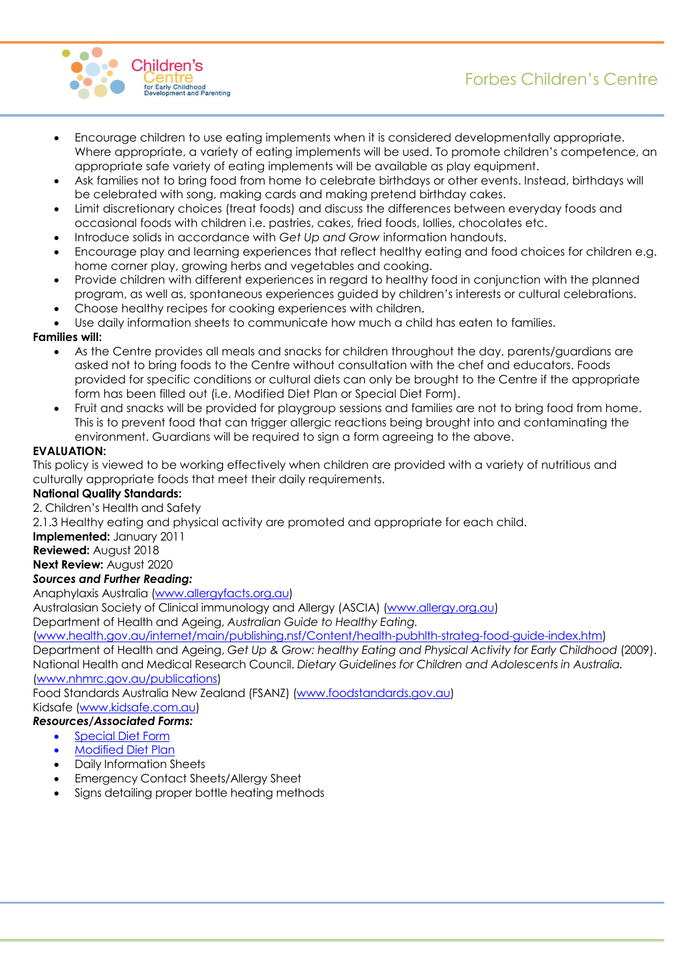

- Encourage children to use eating implements when it is considered developmentally appropriate. Where appropriate, a variety of eating implements will be used. To promote children's competence, an appropriate safe variety of eating implements will be available as play equipment.
- Ask families not to bring food from home to celebrate birthdays or other events. Instead, birthdays will be celebrated with song, making cards and making pretend birthday cakes.
- Limit discretionary choices (treat foods) and discuss the differences between everyday foods and occasional foods with children i.e. pastries, cakes, fried foods, lollies, chocolates etc.
- Introduce solids in accordance with *Get Up and Grow* information handouts.
- Encourage play and learning experiences that reflect healthy eating and food choices for children e.g. home corner play, growing herbs and vegetables and cooking.
- Provide children with different experiences in regard to healthy food in conjunction with the planned program, as well as, spontaneous experiences guided by children's interests or cultural celebrations.
- Choose healthy recipes for cooking experiences with children.
- Use daily information sheets to communicate how much a child has eaten to families.

## **Families will:**

- As the Centre provides all meals and snacks for children throughout the day, parents/guardians are asked not to bring foods to the Centre without consultation with the chef and educators. Foods provided for specific conditions or cultural diets can only be brought to the Centre if the appropriate form has been filled out (i.e. Modified Diet Plan or Special Diet Form).
- Fruit and snacks will be provided for playgroup sessions and families are not to bring food from home. This is to prevent food that can trigger allergic reactions being brought into and contaminating the environment. Guardians will be required to sign a form agreeing to the above.

## **EVALUATION:**

This policy is viewed to be working effectively when children are provided with a variety of nutritious and culturally appropriate foods that meet their daily requirements.

## **National Quality Standards:**

2. Children's Health and Safety

2.1.3 Healthy eating and physical activity are promoted and appropriate for each child.

**Implemented:** January 2011

**Reviewed:** August 2018

**Next Review:** August 2020

## *Sources and Further Reading:*

Anaphylaxis Australia [\(www.allergyfacts.org.au\)](http://www.allergyfacts.org.au/)

Australasian Society of Clinical immunology and Allergy (ASCIA) [\(www.allergy.org.au\)](http://www.allergy.org.au/)

Department of Health and Ageing, *Australian Guide to Healthy Eating.* 

[\(www.health.gov.au/internet/main/publishing.nsf/Content/health-pubhlth-strateg-food-guide-index.htm\)](http://www.health.gov.au/internet/main/publishing.nsf/Content/health-pubhlth-strateg-food-guide-index.htm)

Department of Health and Ageing, *Get Up & Grow: healthy Eating and Physical Activity for Early Childhood* (2009). National Health and Medical Research Council. *Dietary Guidelines for Children and Adolescents in Australia.*  [\(www.nhmrc.gov.au/publications\)](http://www.nhmrc.gov.au/publications)

Food Standards Australia New Zealand (FSANZ) [\(www.foodstandards.gov.au\)](http://www.foodstandards.gov.au/)

Kidsafe [\(www.kidsafe.com.au\)](http://www.kidsafe.com.au/)

## *Resources/Associated Forms:*

- Special Diet Form
- [Modified Diet Plan](http://www.decd.sa.gov.au/speced2/files/pages/chess/hsp/Pathways/Modified_diet_care_plan_20.doc)
- Daily Information Sheets
- Emergency Contact Sheets/Allergy Sheet
- Signs detailing proper bottle heating methods